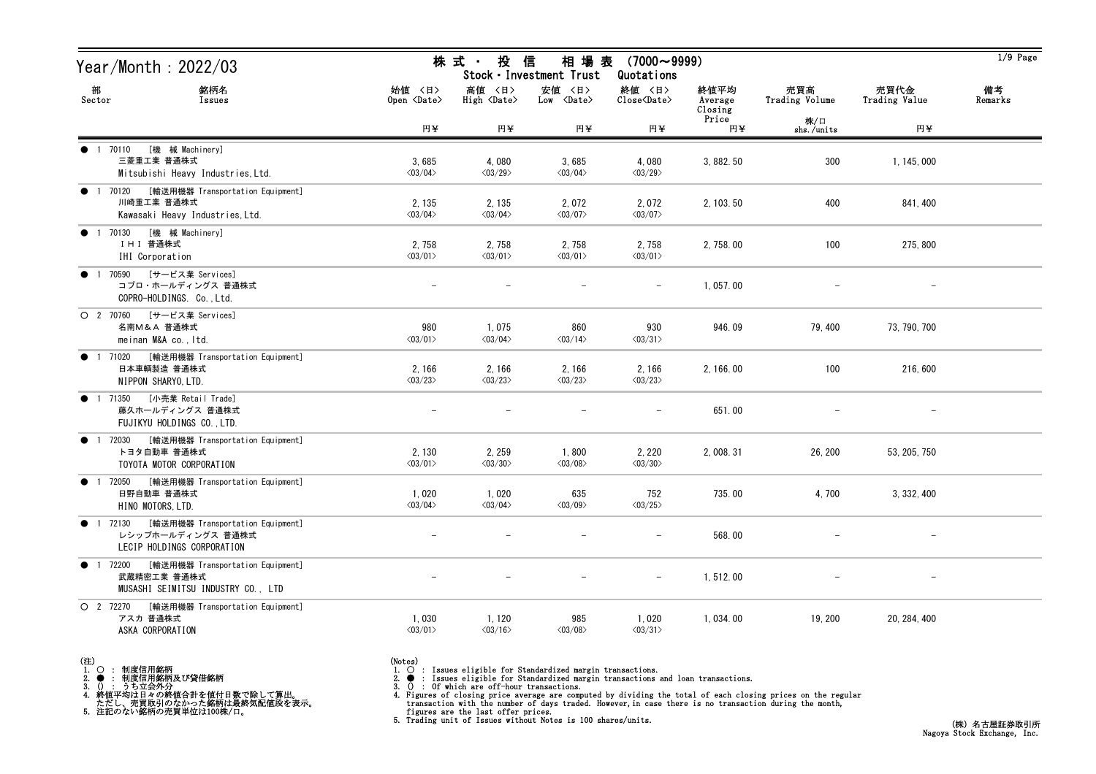| Year/Month : 2022/03                                                                               |                                   | 株 式 ·<br>投                        | 相 場 表<br>信<br>Stock · Investment Trust | $(7000 \sim 9999)$<br>Quotations  |                            |                       |                       | $1/9$ Page    |
|----------------------------------------------------------------------------------------------------|-----------------------------------|-----------------------------------|----------------------------------------|-----------------------------------|----------------------------|-----------------------|-----------------------|---------------|
| 部<br>銘柄名<br>Sector<br>Issues                                                                       | 始値 〈日〉<br>Open <date></date>      | 高値 〈日〉<br>High <date></date>      | 安値 〈日〉<br>Low <date></date>            | 終値 〈日〉<br>Close <date></date>     | 終値平均<br>Average<br>Closing | 売買高<br>Trading Volume | 売買代金<br>Trading Value | 備考<br>Remarks |
|                                                                                                    | 円半                                | 円半                                | 円半                                     | 円半                                | Price<br>円半                | 株/口<br>shs./units     | 円半                    |               |
| [機 械 Machinery]<br>● 1 70110<br>三菱重工業 普通株式<br>Mitsubishi Heavy Industries, Ltd.                    | 3,685<br>$\langle 03/04 \rangle$  | 4,080<br>$\langle03/29\rangle$    | 3,685<br>$\langle 03/04 \rangle$       | 4,080<br>$\langle 03/29 \rangle$  | 3, 882. 50                 | 300                   | 1, 145, 000           |               |
| [輸送用機器 Transportation Equipment]<br>● 1 70120<br>川崎重工業 普通株式<br>Kawasaki Heavy Industries, Ltd.     | 2, 135<br>$\langle 03/04 \rangle$ | 2, 135<br>$\langle 03/04 \rangle$ | 2,072<br>$\langle 03/07 \rangle$       | 2,072<br>$\langle 03/07 \rangle$  | 2, 103.50                  | 400                   | 841, 400              |               |
| [機 械 Machinery]<br>● 1 70130<br>IHI 普通株式<br>IHI Corporation                                        | 2,758<br>$\langle 03/01 \rangle$  | 2,758<br>$\langle 03/01 \rangle$  | 2,758<br>$\langle 03/01 \rangle$       | 2,758<br>$\langle 03/01 \rangle$  | 2, 758.00                  | 100                   | 275, 800              |               |
| [サービス業 Services]<br>70590<br>$\bullet$ 1<br>コプロ・ホールディングス 普通株式<br>COPRO-HOLDINGS. Co., Ltd.         |                                   |                                   |                                        | $\overline{\phantom{a}}$          | 1,057.00                   |                       |                       |               |
| [サービス業 Services]<br>$O$ 2 70760<br>名南M&A 普通株式<br>meinan M&A co., Itd.                              | 980<br>$\langle 03/01 \rangle$    | 1,075<br>$\langle 03/04 \rangle$  | 860<br>$\langle 03/14 \rangle$         | 930<br>$\langle 03/31 \rangle$    | 946.09                     | 79, 400               | 73, 790, 700          |               |
| [輸送用機器 Transportation Equipment]<br><b>1</b> 71020<br>日本車輌製造 普通株式<br>NIPPON SHARYO, LTD.           | 2, 166<br>$\langle 03/23 \rangle$ | 2, 166<br>$\langle 03/23 \rangle$ | 2,166<br>$\langle 03/23 \rangle$       | 2,166<br>$\langle 03/23 \rangle$  | 2, 166.00                  | 100                   | 216,600               |               |
| [小売業 Retail Trade]<br>● 1 71350<br>藤久ホールディングス 普通株式<br>FUJIKYU HOLDINGS CO., LTD.                   |                                   |                                   |                                        |                                   | 651.00                     |                       |                       |               |
| [輸送用機器 Transportation Equipment]<br>● 1 72030<br>トヨタ自動車 普通株式<br>TOYOTA MOTOR CORPORATION           | 2, 130<br>$\langle 03/01 \rangle$ | 2, 259<br>$\langle 03/30 \rangle$ | 1,800<br>$\langle 03/08 \rangle$       | 2, 220<br>$\langle 03/30 \rangle$ | 2, 008. 31                 | 26, 200               | 53, 205, 750          |               |
| [輸送用機器 Transportation Equipment]<br>● 1 72050<br>日野自動車 普通株式<br>HINO MOTORS, LTD.                   | 1,020<br>$\langle 03/04 \rangle$  | 1,020<br>$\langle 03/04 \rangle$  | 635<br>$\langle 03/09 \rangle$         | 752<br>$\langle 03/25 \rangle$    | 735.00                     | 4,700                 | 3, 332, 400           |               |
| ● 1 72130 [輸送用機器 Transportation Equipment]<br>レシップホールディングス 普通株式<br>LECIP HOLDINGS CORPORATION      |                                   |                                   |                                        | $\qquad \qquad -$                 | 568.00                     |                       |                       |               |
| [輸送用機器 Transportation Equipment]<br>● 1 72200<br>武蔵精密工業 普通株式<br>MUSASHI SEIMITSU INDUSTRY CO., LTD |                                   |                                   |                                        | $\overline{\phantom{a}}$          | 1, 512.00                  |                       |                       |               |
| O 2 72270<br>[輸送用機器 Transportation Equipment]<br>アスカ 普通株式<br>ASKA CORPORATION                      | 1,030<br>$\langle 03/01 \rangle$  | 1, 120<br>$\langle 03/16 \rangle$ | 985<br>$\langle 03/08 \rangle$         | 1,020<br>$\langle 03/31 \rangle$  | 1,034.00                   | 19, 200               | 20, 284, 400          |               |

(注)<br>1. ○<br>2. ●<br>3. ① 1. ○ : 制度信用銘柄

2. ● : 制度信用銘柄及び貸借銘柄<br>3. () : うち立会外分<br>4. 終値平均は日々の終値合計を値付日数で除して算出。<br>ただし、売買取引のなかった銘柄は最終気配値段を表示。<br>5. 注記のない銘柄の売買単位は100株/口。

(Notes)<br>1. ○ : Issues eligible for Standardized margin transactions.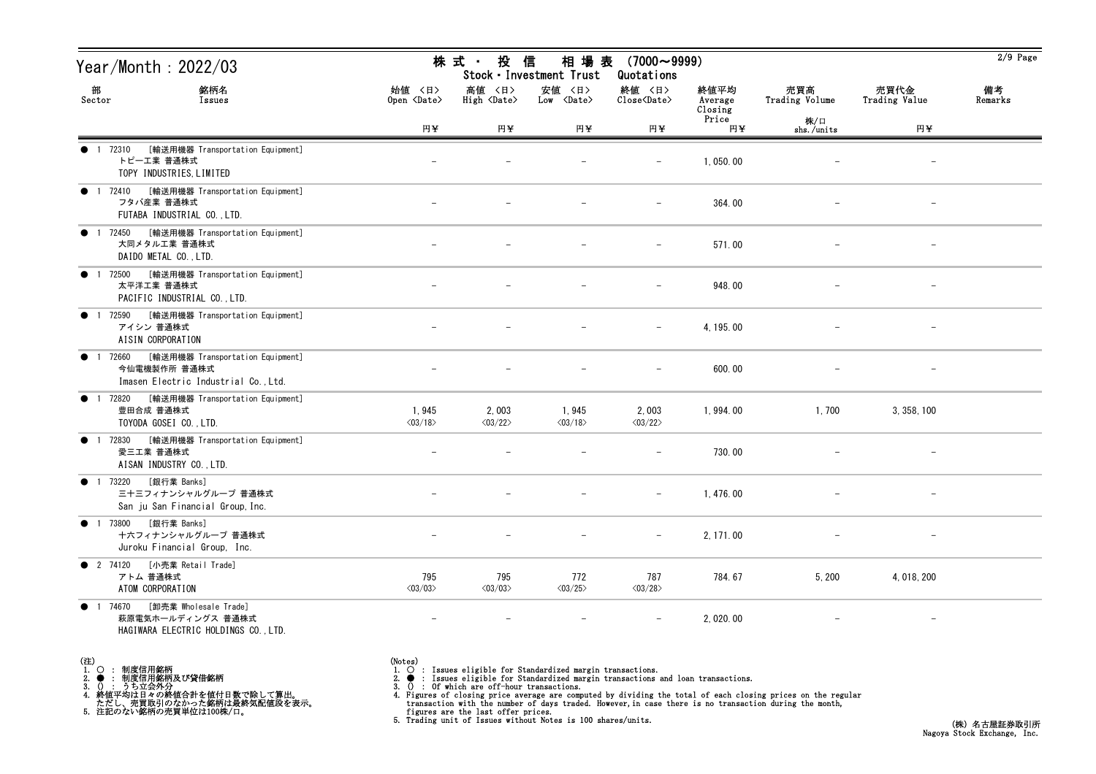| Year/Month: 2022/03                                                                                        | 株 式 ・<br>投<br>信<br>相 場 表<br>$(7000 \sim 9999)$<br>Stock · Investment Trust<br>Quotations |                                  |                                  |                                                              |                            |                       |                          |               |  |
|------------------------------------------------------------------------------------------------------------|------------------------------------------------------------------------------------------|----------------------------------|----------------------------------|--------------------------------------------------------------|----------------------------|-----------------------|--------------------------|---------------|--|
| 部<br>銘柄名<br>Sector<br>Issues                                                                               | 始値 〈日〉<br>Open <date></date>                                                             | 高値 〈日〉<br>High <date></date>     | 安値 〈日〉<br>Low <date></date>      | 終値 〈日〉<br>$\widehat{\text{Close}}\langle \text{Date}\rangle$ | 終値平均<br>Average<br>Closing | 売買高<br>Trading Volume | 売買代金<br>Trading Value    | 備考<br>Remarks |  |
|                                                                                                            | 円半                                                                                       | 円半                               | 円半                               | 円半                                                           | Price<br>円¥                | 株/口<br>shs./units     | 円半                       |               |  |
| [輸送用機器 Transportation Equipment]<br>● 1 72310<br>トピーエ業 普通株式<br>TOPY INDUSTRIES, LIMITED                    |                                                                                          |                                  |                                  |                                                              | 1,050.00                   |                       | $\overline{\phantom{a}}$ |               |  |
| [輸送用機器 Transportation Equipment]<br><b>1</b> 72410<br>フタバ産業 普通株式<br>FUTABA INDUSTRIAL CO., LTD.            |                                                                                          |                                  |                                  | $\overline{\phantom{m}}$                                     | 364.00                     |                       | $\overline{\phantom{m}}$ |               |  |
| [輸送用機器 Transportation Equipment]<br>1 72450<br>$\bullet$<br>大同メタル工業 普通株式<br>DAIDO METAL CO., LTD.          |                                                                                          |                                  |                                  |                                                              | 571.00                     |                       |                          |               |  |
| [輸送用機器 Transportation Equipment]<br>● 1 72500<br>太平洋工業 普通株式<br>PACIFIC INDUSTRIAL CO., LTD.                |                                                                                          |                                  |                                  |                                                              | 948.00                     |                       |                          |               |  |
| [輸送用機器 Transportation Equipment]<br>72590<br>$\bullet$<br>アイシン 普通株式<br>AISIN CORPORATION                   |                                                                                          |                                  |                                  |                                                              | 4, 195.00                  |                       |                          |               |  |
| [輸送用機器 Transportation Equipment]<br>1 72660<br>今仙電機製作所 普通株式<br>Imasen Electric Industrial Co., Ltd.        |                                                                                          |                                  |                                  | $\qquad \qquad -$                                            | 600.00                     |                       | $\overline{\phantom{m}}$ |               |  |
| [輸送用機器 Transportation Equipment]<br>1 72820<br>$\bullet$<br>豊田合成 普通株式<br>TOYODA GOSEI CO., LTD.            | 1,945<br>$\langle 03/18 \rangle$                                                         | 2,003<br>$\langle 03/22 \rangle$ | 1,945<br>$\langle 03/18 \rangle$ | 2,003<br>$\langle 03/22 \rangle$                             | 1,994.00                   | 1,700                 | 3, 358, 100              |               |  |
| [輸送用機器 Transportation Equipment]<br>72830<br>$\bullet$ 1<br>愛三工業 普通株式<br>AISAN INDUSTRY CO., LTD.          |                                                                                          |                                  |                                  |                                                              | 730.00                     |                       | $\qquad \qquad -$        |               |  |
| [銀行業 Banks]<br>$\bullet$ 1 73220<br>三十三フィナンシャルグループ 普通株式<br>San ju San Financial Group, Inc.                |                                                                                          |                                  |                                  | $-$                                                          | 1, 476.00                  |                       | $\overline{\phantom{m}}$ |               |  |
| ● 1 73800 [銀行業 Banks]<br>十六フィナンシャルグループ 普通株式<br>Juroku Financial Group, Inc.                                |                                                                                          |                                  |                                  | $-$                                                          | 2, 171.00                  |                       |                          |               |  |
| [小売業 Retail Trade]<br><b>2</b> 74120<br>アトム 普通株式<br>ATOM CORPORATION                                       | 795<br>$\langle 03/03 \rangle$                                                           | 795<br>$\langle03/03\rangle$     | 772<br>$\langle 03/25 \rangle$   | 787<br>$\langle 03/28 \rangle$                               | 784.67                     | 5, 200                | 4, 018, 200              |               |  |
| [卸売業 Wholesale Trade]<br>1 74670<br>$\bullet$<br>萩原電気ホールディングス 普通株式<br>HAGIWARA ELECTRIC HOLDINGS CO., LTD. | $\overline{\phantom{m}}$                                                                 |                                  |                                  |                                                              | 2, 020.00                  |                       | $-$                      |               |  |

- (注)<br>1. ○<br>2. ●<br>3. ① 1. ○ : 制度信用銘柄
- 
- 

- 
- (Notes)<br>1. : Issues eligible for Standardized margin transactions.
-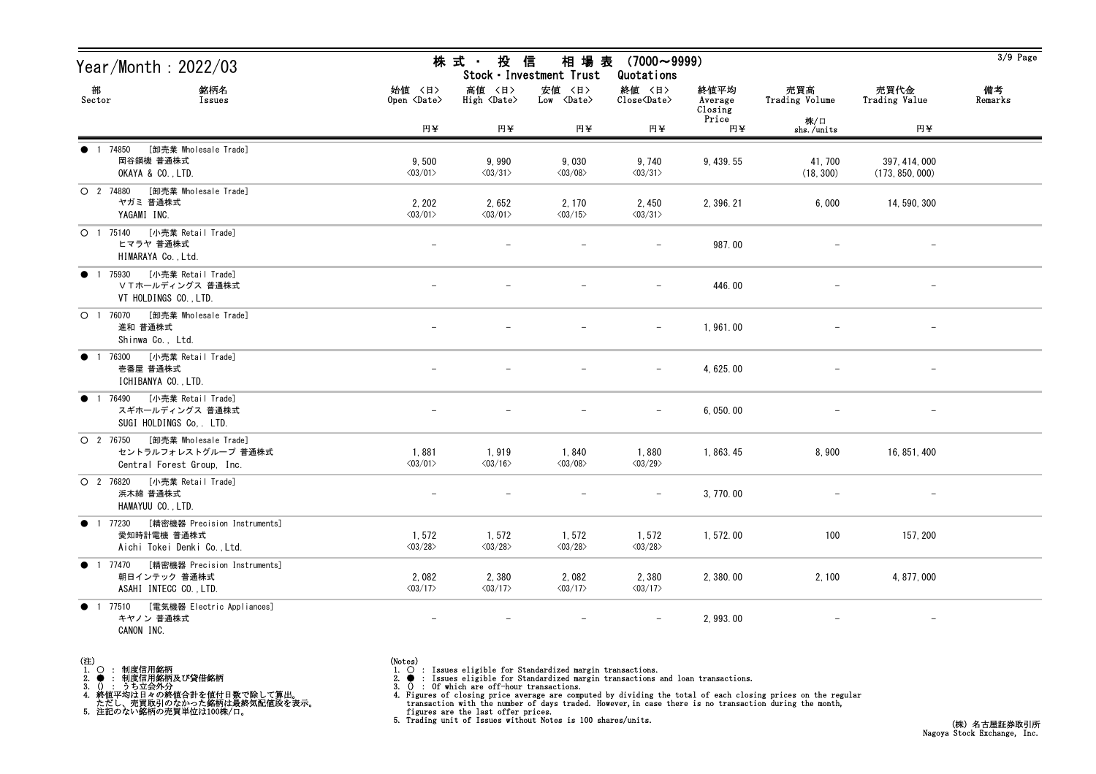| Year/Month : 2022/03                                                                        |                                   | 株 式 ・ 投 信<br>相 場 表 (7000~9999)<br>Stock · Investment Trust<br>Quotations |                                      |                                  |                            |                       |                                  |               |  |
|---------------------------------------------------------------------------------------------|-----------------------------------|--------------------------------------------------------------------------|--------------------------------------|----------------------------------|----------------------------|-----------------------|----------------------------------|---------------|--|
| 部<br>銘柄名<br>Sector<br>Issues                                                                | 始値 〈日〉<br>Open <date></date>      | 高値 〈日〉<br>High <date></date>                                             | 安値 〈日〉<br>$Low \langle Date \rangle$ | 終値 〈日〉<br>Close <date></date>    | 終値平均<br>Average<br>Closing | 売買高<br>Trading Volume | 売買代金<br>Trading Value            | 備考<br>Remarks |  |
|                                                                                             | 円半                                | 円半                                                                       | 円半                                   | 円半                               | Price<br>円半                | 株/口<br>shs./units     | 円半                               |               |  |
| [卸売業 Wholesale Trade]<br>● 1 74850<br>岡谷鋼機 普通株式<br>OKAYA & CO., LTD.                        | 9,500<br>$\langle 03/01 \rangle$  | 9,990<br>$\langle 03/31 \rangle$                                         | 9,030<br>$\langle 03/08 \rangle$     | 9,740<br>$\langle 03/31 \rangle$ | 9, 439.55                  | 41, 700<br>(18, 300)  | 397, 414, 000<br>(173, 850, 000) |               |  |
| ○ 2 74880 [卸売業 Wholesale Trade]<br>ヤガミ 普通株式<br>YAGAMI INC.                                  | 2, 202<br>$\langle 03/01 \rangle$ | 2,652<br>$\langle 03/01 \rangle$                                         | 2, 170<br>$\langle 03/15 \rangle$    | 2,450<br>$\langle 03/31 \rangle$ | 2, 396. 21                 | 6,000                 | 14, 590, 300                     |               |  |
| 〇 1 75140 [小売業 Retail Trade]<br>ヒマラヤ 普通株式<br>HIMARAYA Co., Ltd.                             |                                   |                                                                          |                                      |                                  | 987.00                     |                       |                                  |               |  |
| ● 1 75930 [小売業 Retail Trade]<br>ⅤTホールディングス 普通株式<br>VT HOLDINGS CO., LTD.                    |                                   |                                                                          |                                      | $\overline{\phantom{a}}$         | 446.00                     |                       |                                  |               |  |
| ○ 1 76070 [卸売業 Wholesale Trade]<br>進和 普通株式<br>Shinwa Co., Ltd.                              |                                   |                                                                          |                                      | $\overline{\phantom{0}}$         | 1,961.00                   |                       |                                  |               |  |
| ● 1 76300 [小売業 Retail Trade]<br>壱番屋 普通株式<br>ICHIBANYA CO., LTD.                             |                                   |                                                                          |                                      | $\qquad \qquad -$                | 4, 625.00                  |                       | $\overline{\phantom{m}}$         |               |  |
| ● 1 76490 [小売業 Retail Trade]<br>スギホールディングス 普通株式<br>SUGI HOLDINGS Co. LTD.                   |                                   |                                                                          |                                      |                                  | 6, 050.00                  |                       |                                  |               |  |
| ○ 2 76750 [卸売業 Wholesale Trade]<br>セントラルフォレストグループ 普通株式<br>Central Forest Group, Inc.        | 1,881<br>$\langle 03/01 \rangle$  | 1,919<br>$\langle 03/16 \rangle$                                         | 1,840<br>$\langle 03/08 \rangle$     | 1,880<br>$\langle 03/29 \rangle$ | 1, 863.45                  | 8,900                 | 16, 851, 400                     |               |  |
| 〇 2 76820 [小売業 Retail Trade]<br>浜木綿 普通株式<br>HAMAYUU CO., LTD.                               |                                   |                                                                          |                                      |                                  | 3, 770.00                  |                       | $\overline{\phantom{m}}$         |               |  |
| ● 1 77230 [精密機器 Precision Instruments]<br>愛知時計電機 普通株式<br>Aichi Tokei Denki Co., Ltd.        | 1,572<br>$\langle 03/28 \rangle$  | 1,572<br>$\langle03/28\rangle$                                           | 1, 572<br>$\langle 03/28 \rangle$    | 1,572<br>$\langle 03/28 \rangle$ | 1,572.00                   | 100                   | 157, 200                         |               |  |
| [精密機器 Precision Instruments]<br>$\bullet$ 1 77470<br>朝日インテック 普通株式<br>ASAHI INTECC CO., LTD. | 2,082<br>$\langle 03/17 \rangle$  | 2,380<br>$\langle 03/17 \rangle$                                         | 2,082<br>$\langle 03/17 \rangle$     | 2,380<br>$\langle 03/17 \rangle$ | 2, 380.00                  | 2,100                 | 4, 877, 000                      |               |  |
| ● 1 77510 [電気機器 Electric Appliances]<br>キヤノン 普通株式<br>CANON INC.                             | $\overline{\phantom{a}}$          | $\overline{\phantom{m}}$                                                 | $\qquad \qquad -$                    |                                  | 2, 993.00                  |                       | $\overline{\phantom{m}}$         |               |  |

- (注)<br>1. ○<br>2. ●<br>3. ① 1. ○ : 制度信用銘柄
- 
- 

(Notes)<br>1. ○ : Issues eligible for Standardized margin transactions.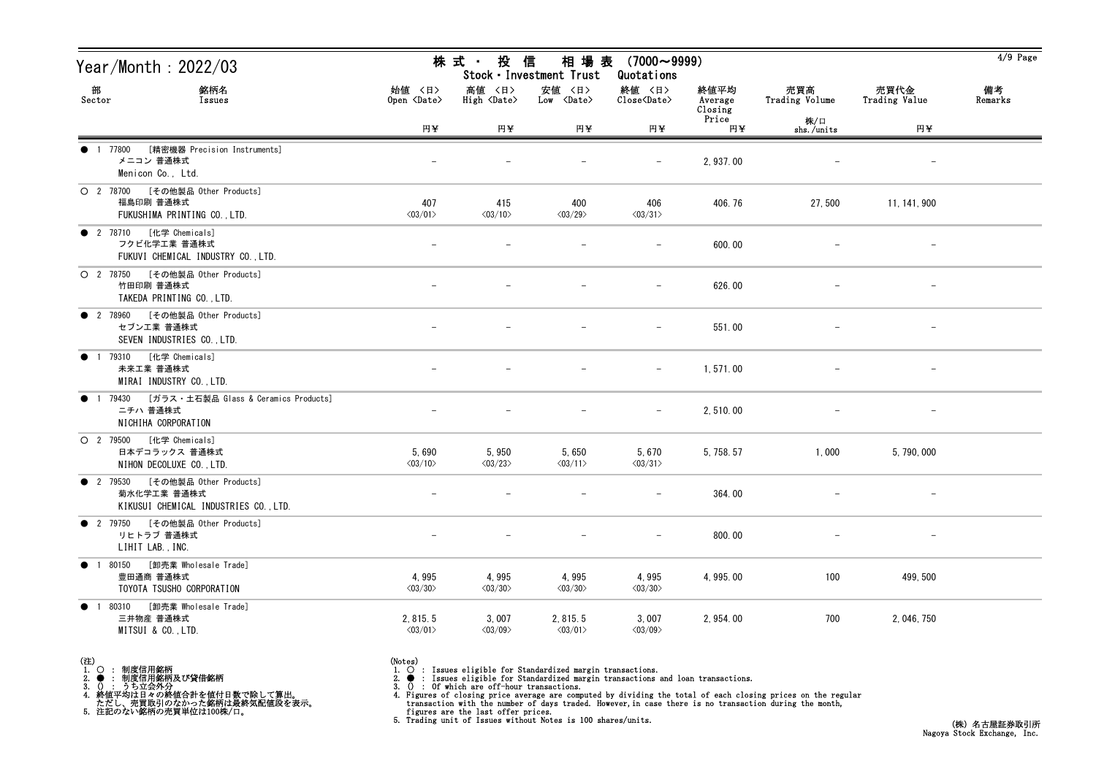| Year/Month: 2022/03                                                                              |                                     | 株式 投信<br>相 場 表 (7000~9999)<br>Stock · Investment Trust<br>Quotations |                                      |                                  |                            |                       |                          |               |  |
|--------------------------------------------------------------------------------------------------|-------------------------------------|----------------------------------------------------------------------|--------------------------------------|----------------------------------|----------------------------|-----------------------|--------------------------|---------------|--|
| 部<br>銘柄名<br>Sector<br>Issues                                                                     | 始値 〈日〉<br>Open <date></date>        | 高値 〈日〉<br>High <date></date>                                         | 安値 〈日〉<br>$Low \langle Date \rangle$ | 終値 〈日〉<br>Close <date></date>    | 終値平均<br>Average<br>Closing | 売買高<br>Trading Volume | 売買代金<br>Trading Value    | 備考<br>Remarks |  |
|                                                                                                  | 円¥                                  | 円¥                                                                   | 円¥                                   | 円半                               | Price<br>円至                | 株/口<br>shs./units     | 円¥                       |               |  |
| [精密機器 Precision Instruments]<br>● 1 77800<br>メニコン 普通株式<br>Menicon Co., Ltd.                      |                                     |                                                                      |                                      | $\overline{\phantom{m}}$         | 2, 937.00                  |                       | $\qquad \qquad -$        |               |  |
| O 2 78700 [その他製品 Other Products]<br>福島印刷 普通株式<br>FUKUSHIMA PRINTING CO., LTD.                    | 407<br>$\langle 03/01 \rangle$      | 415<br>$\langle 03/10 \rangle$                                       | 400<br>$\langle 03/29 \rangle$       | 406<br>$\langle 03/31 \rangle$   | 406.76                     | 27,500                | 11, 141, 900             |               |  |
| ● 2 78710 [化学 Chemicals]<br>フクビ化学工業 普通株式<br>FUKUVI CHEMICAL INDUSTRY CO., LTD.                   |                                     |                                                                      |                                      |                                  | 600.00                     |                       |                          |               |  |
| O 2 78750 [その他製品 Other Products]<br>竹田印刷 普通株式<br>TAKEDA PRINTING CO., LTD.                       |                                     |                                                                      |                                      | $\overline{\phantom{m}}$         | 626.00                     |                       |                          |               |  |
| ● 2 78960 [その他製品 Other Products]<br>セブンエ業 普通株式<br>SEVEN INDUSTRIES CO., LTD.                     |                                     |                                                                      |                                      |                                  | 551.00                     |                       | $\qquad \qquad -$        |               |  |
| ● 1 79310 [化学 Chemicals]<br>未来工業 普通株式<br>MIRAI INDUSTRY CO., LTD.                                |                                     |                                                                      |                                      | $\overline{\phantom{m}}$         | 1,571.00                   |                       | $\qquad \qquad -$        |               |  |
| 1 79430 [ガラス・土石製品 Glass & Ceramics Products]<br>$\bullet$<br>ニチハ 普通株式<br>NICHIHA CORPORATION     |                                     |                                                                      |                                      |                                  | 2,510.00                   |                       |                          |               |  |
| O 2 79500 [化学 Chemicals]<br>日本デコラックス 普通株式<br>NIHON DECOLUXE CO., LTD.                            | 5,690<br>$\langle 03/10 \rangle$    | 5,950<br>$\langle 03/23 \rangle$                                     | 5,650<br>$\langle 03/11 \rangle$     | 5,670<br>$\langle 03/31 \rangle$ | 5, 758. 57                 | 1,000                 | 5, 790, 000              |               |  |
| ● 2 79530 [その他製品 Other Products]<br>菊水化学工業 普通株式<br>KIKUSUI CHEMICAL INDUSTRIES CO., LTD.         |                                     |                                                                      |                                      |                                  | 364.00                     |                       |                          |               |  |
| ● 2 79750 [その他製品 Other Products]<br>リヒトラブ 普通株式<br>LIHIT LAB., INC.                               |                                     |                                                                      |                                      | $-$                              | 800.00                     |                       | $\overline{\phantom{m}}$ |               |  |
| [卸売業 Wholesale Trade]<br>● 1 80150<br>豊田通商 普通株式<br>TOYOTA TSUSHO CORPORATION                     | 4,995<br>$\langle 03/30 \rangle$    | 4,995<br>$\langle 03/30 \rangle$                                     | 4,995<br>$\langle 03/30 \rangle$     | 4,995<br>$\langle 03/30 \rangle$ | 4, 995.00                  | 100                   | 499, 500                 |               |  |
| 80310<br>[卸売業 Wholesale Trade]<br>$\bullet$<br>$\overline{1}$<br>三井物産 普通株式<br>MITSUI & CO., LTD. | 2, 815.5<br>$\langle 03/01 \rangle$ | 3,007<br>$\langle03/09\rangle$                                       | 2, 815.5<br>$\langle 03/01 \rangle$  | 3,007<br>$\langle 03/09 \rangle$ | 2, 954.00                  | 700                   | 2, 046, 750              |               |  |

- (注)<br>1. ○<br>2. ●<br>3. ① 1. ○ : 制度信用銘柄
- 
- 

- 
- (Notes)<br>1. : Issues eligible for Standardized margin transactions.
-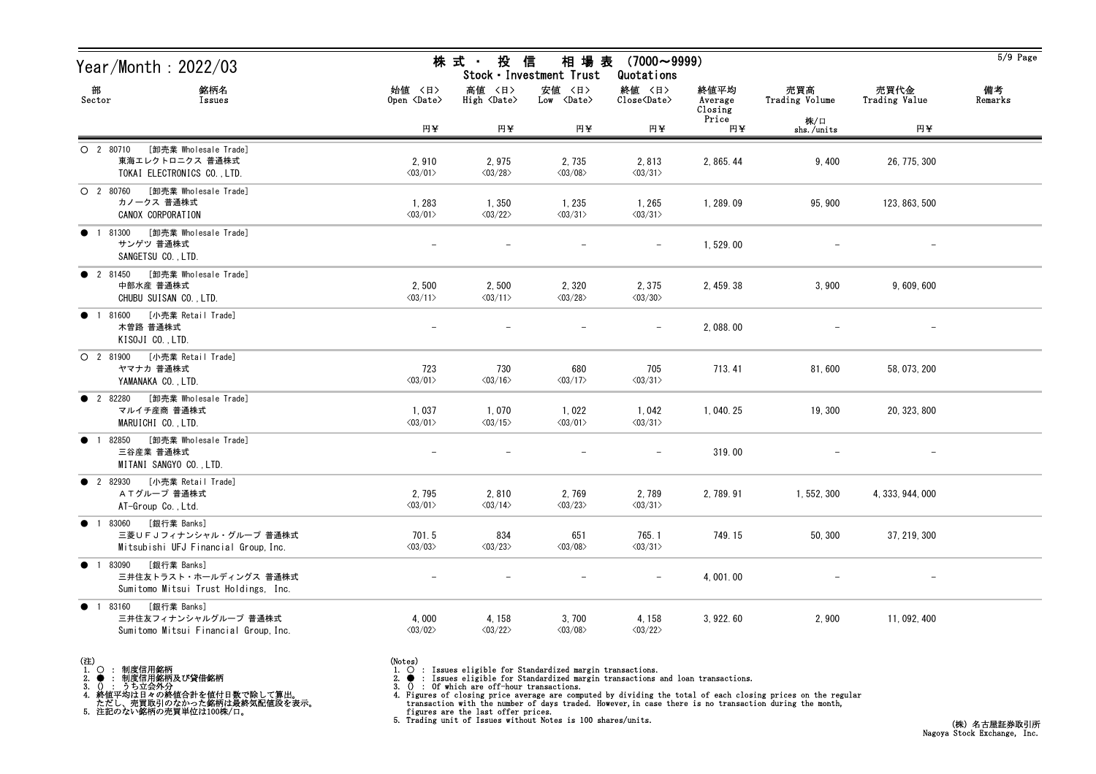| Year/Month : 2022/03                                                                                 |                                  | 株式 ・ 投<br>信<br>相 場 表<br>$(7000 \sim 9999)$<br>Stock · Investment Trust<br>Quotations |                                   |                                   |                            |                       |                          |               |
|------------------------------------------------------------------------------------------------------|----------------------------------|--------------------------------------------------------------------------------------|-----------------------------------|-----------------------------------|----------------------------|-----------------------|--------------------------|---------------|
| 部<br>銘柄名<br>Sector<br>Issues                                                                         | 始値 〈日〉<br>Open <date></date>     | 高値 〈日〉<br>High <date></date>                                                         | 安値 〈日〉<br>Low <date></date>       | 終値 〈日〉<br>Close <date></date>     | 終値平均<br>Average<br>Closing | 売買高<br>Trading Volume | 売買代金<br>Trading Value    | 備考<br>Remarks |
|                                                                                                      | 円半                               | 円半                                                                                   | 円¥                                | 円半                                | Price<br>円半                | 株/口<br>shs./units     | 円半                       |               |
| [卸売業 Wholesale Trade]<br>$O$ 2 80710<br>東海エレクトロニクス 普通株式<br>TOKAI ELECTRONICS CO., LTD.               | 2,910<br>$\langle 03/01 \rangle$ | 2,975<br>$\langle 03/28 \rangle$                                                     | 2, 735<br>$\langle 03/08 \rangle$ | 2,813<br>$\langle 03/31 \rangle$  | 2, 865.44                  | 9,400                 | 26, 775, 300             |               |
| O 2 80760 [卸売業 Wholesale Trade]<br>カノークス 普通株式<br>CANOX CORPORATION                                   | 1,283<br>$\langle 03/01 \rangle$ | 1,350<br>$\langle 03/22 \rangle$                                                     | 1, 235<br>$\langle 03/31 \rangle$ | 1, 265<br>$\langle 03/31 \rangle$ | 1, 289.09                  | 95, 900               | 123, 863, 500            |               |
| [卸売業 Wholesale Trade]<br>1 81300<br>$\bullet$<br>サンゲツ 普通株式<br>SANGETSU CO., LTD.                     |                                  |                                                                                      |                                   |                                   | 1,529.00                   |                       |                          |               |
| ● 2 81450 [卸売業 Wholesale Trade]<br>中部水産 普通株式<br>CHUBU SUISAN CO., LTD.                               | 2,500<br>$\langle 03/11 \rangle$ | 2,500<br>$\langle 03/11 \rangle$                                                     | 2,320<br>$\langle 03/28 \rangle$  | 2, 375<br>$\langle 03/30 \rangle$ | 2, 459. 38                 | 3,900                 | 9,609,600                |               |
| [小売業 Retail Trade]<br>81600<br>$\bullet$<br>$\overline{1}$<br>木曽路 普通株式<br>KISOJI CO., LTD.           |                                  |                                                                                      |                                   |                                   | 2,088.00                   |                       |                          |               |
| O 2 81900 [小売業 Retail Trade]<br>ヤマナカ 普通株式<br>YAMANAKA CO., LTD.                                      | 723<br>$\langle 03/01 \rangle$   | 730<br>$\langle 03/16 \rangle$                                                       | 680<br>$\langle 03/17 \rangle$    | 705<br>$\langle 03/31 \rangle$    | 713.41                     | 81,600                | 58, 073, 200             |               |
| ● 2 82280 [卸売業 Wholesale Trade]<br>マルイチ産商 普通株式<br>MARUICHI CO., LTD.                                 | 1,037<br>$\langle 03/01 \rangle$ | 1,070<br>$\langle 03/15 \rangle$                                                     | 1,022<br>$\langle 03/01 \rangle$  | 1,042<br>$\langle 03/31 \rangle$  | 1, 040. 25                 | 19, 300               | 20, 323, 800             |               |
| 82850 [卸売業 Wholesale Trade]<br>$\bullet$<br>$\overline{1}$<br>三谷産業 普通株式<br>MITANI SANGYO CO., LTD.   | $\overline{\phantom{m}}$         |                                                                                      | $\qquad \qquad -$                 | $\overline{\phantom{m}}$          | 319.00                     |                       | $\overline{\phantom{m}}$ |               |
| ● 2 82930 [小売業 Retail Trade]<br>ATグループ 普通株式<br>AT-Group Co., Ltd.                                    | 2,795<br>$\langle 03/01 \rangle$ | 2,810<br>$\langle 03/14 \rangle$                                                     | 2,769<br>$\langle 03/23 \rangle$  | 2,789<br>$\langle 03/31 \rangle$  | 2, 789.91                  | 1, 552, 300           | 4, 333, 944, 000         |               |
| ● 1 83060 [銀行業 Banks]<br>三菱UFJフィナンシャル・グループ 普通株式<br>Mitsubishi UFJ Financial Group, Inc.              | 701.5<br>$\langle 03/03 \rangle$ | 834<br>$\langle 03/23 \rangle$                                                       | 651<br>$\langle 03/08 \rangle$    | 765.1<br>$\langle 03/31 \rangle$  | 749.15                     | 50, 300               | 37, 219, 300             |               |
| [銀行業 Banks]<br>● 1 83090<br>三井住友トラスト・ホールディングス 普通株式<br>Sumitomo Mitsui Trust Holdings, Inc.           |                                  |                                                                                      |                                   |                                   | 4,001.00                   |                       |                          |               |
| [銀行業 Banks]<br>83160<br>$\bullet$ 1<br>三井住友フィナンシャルグループ 普通株式<br>Sumitomo Mitsui Financial Group, Inc. | 4,000<br>$\langle 03/02 \rangle$ | 4, 158<br>$\langle 03/22 \rangle$                                                    | 3,700<br>$\langle 03/08 \rangle$  | 4, 158<br>$\langle 03/22 \rangle$ | 3, 922. 60                 | 2,900                 | 11, 092, 400             |               |



(Notes)<br>1. ○ : Issues eligible for Standardized margin transactions.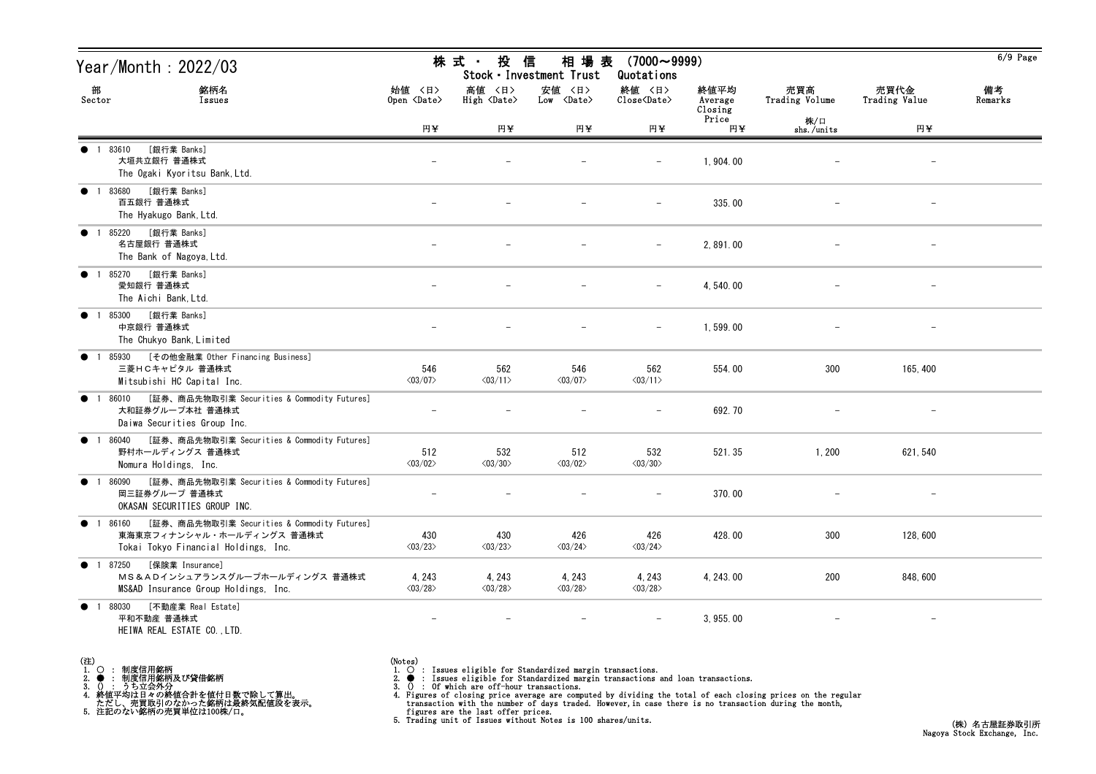| Year/Month : 2022/03                                                                                                            |                                   | 株 式 ·<br>投                      | 信<br>相 場 表<br>Stock · Investment Trust | $(7000 \sim 9999)$<br>Quotations                             |                            |                       |                       | $6/9$ Page    |
|---------------------------------------------------------------------------------------------------------------------------------|-----------------------------------|---------------------------------|----------------------------------------|--------------------------------------------------------------|----------------------------|-----------------------|-----------------------|---------------|
| 部<br>銘柄名<br>Sector<br>Issues                                                                                                    | 始値 〈日〉<br>Open <date></date>      | 高値 〈日〉<br>High <date></date>    | 安値 〈日〉<br>$Low \langle Date \rangle$   | 終値 〈日〉<br>$\overline{\text{Close}}\langle\text{Date}\rangle$ | 終値平均<br>Average<br>Closing | 売買高<br>Trading Volume | 売買代金<br>Trading Value | 備考<br>Remarks |
|                                                                                                                                 | 円半                                | 円¥                              | 円半                                     | 円半                                                           | Price<br>円半                | 株/口<br>shs./units     | 円半                    |               |
| [銀行業 Banks]<br>1 83610<br>大垣共立銀行 普通株式<br>The Ogaki Kyoritsu Bank, Ltd.                                                          |                                   |                                 |                                        |                                                              | 1,904.00                   |                       | $\qquad \qquad -$     |               |
| [銀行業 Banks]<br>● 1 83680<br>百五銀行 普通株式<br>The Hyakugo Bank, Ltd.                                                                 |                                   |                                 |                                        | $\qquad \qquad -$                                            | 335.00                     |                       | $\qquad \qquad -$     |               |
| [銀行業 Banks]<br>1 85220<br>$\bullet$<br>名古屋銀行 普通株式<br>The Bank of Nagoya, Ltd.                                                   |                                   |                                 |                                        |                                                              | 2,891.00                   |                       |                       |               |
| [銀行業 Banks]<br>● 1 85270<br>愛知銀行 普通株式<br>The Aichi Bank, Ltd.                                                                   |                                   |                                 |                                        | $\qquad \qquad -$                                            | 4, 540, 00                 |                       |                       |               |
| [銀行業 Banks]<br>$\bullet$<br>1 85300<br>中京銀行 普通株式<br>The Chukyo Bank, Limited                                                    |                                   |                                 |                                        |                                                              | 1,599.00                   |                       |                       |               |
| [その他金融業 Other Financing Business]<br>1 85930<br>$\bullet$<br>三菱HCキャピタル 普通株式<br>Mitsubishi HC Capital Inc.                       | 546<br>$\langle 03/07 \rangle$    | 562<br>$\langle 03/11 \rangle$  | 546<br>$\langle 03/07 \rangle$         | 562<br>$\langle 03/11 \rangle$                               | 554.00                     | 300                   | 165, 400              |               |
| [証券、商品先物取引業 Securities & Commodity Futures]<br>1 86010<br>$\bullet$<br>大和証券グループ本社 普通株式<br>Daiwa Securities Group Inc.           |                                   |                                 |                                        |                                                              | 692.70                     |                       |                       |               |
| [証券、商品先物取引業 Securities & Commodity Futures]<br>86040<br>$\bullet$<br>$\overline{1}$<br>野村ホールディングス 普通株式<br>Nomura Holdings, Inc. | 512<br>$\langle 03/02 \rangle$    | 532<br>$\langle 03/30 \rangle$  | 512<br>$\langle 03/02 \rangle$         | 532<br>$\langle 03/30 \rangle$                               | 521.35                     | 1,200                 | 621, 540              |               |
| [証券、商品先物取引業 Securities & Commodity Futures]<br>1 86090<br>$\bullet$<br>岡三証券グループ 普通株式<br>OKASAN SECURITIES GROUP INC.            |                                   |                                 |                                        |                                                              | 370.00                     |                       |                       |               |
| ● 1 86160 [証券、商品先物取引業 Securities & Commodity Futures]<br>東海東京フィナンシャル・ホールディングス 普通株式<br>Tokai Tokyo Financial Holdings, Inc.      | 430<br>$\langle 03/23 \rangle$    | 430<br>$\langle 03/23 \rangle$  | 426<br>$\langle 03/24 \rangle$         | 426<br>$\langle 03/24 \rangle$                               | 428.00                     | 300                   | 128,600               |               |
| [保険業 Insurance]<br>● 1 87250<br>MS&ADインシュアランスグループホールディングス 普通株式<br>MS&AD Insurance Group Holdings, Inc.                          | 4, 243<br>$\langle 03/28 \rangle$ | 4, 243<br>$\langle03/28\rangle$ | 4, 243<br>$\langle 03/28 \rangle$      | 4, 243<br>$\langle 03/28 \rangle$                            | 4, 243, 00                 | 200                   | 848,600               |               |
| [不動産業 Real Estate]<br>● 1 88030<br>平和不動産 普通株式<br>HEIWA REAL ESTATE CO., LTD.                                                    | $\overline{\phantom{a}}$          | $\overline{\phantom{m}}$        | $\overline{\phantom{m}}$               | $\qquad \qquad -$                                            | 3, 955.00                  |                       | $-$                   |               |

| (注) |                     |
|-----|---------------------|
|     | 1. 〇 : 制度信用銘柄       |
|     | 2. ● : 制度信用銘柄及び貸借銘柄 |
|     |                     |

(Notes)<br>1. ○ : Issues eligible for Standardized margin transactions.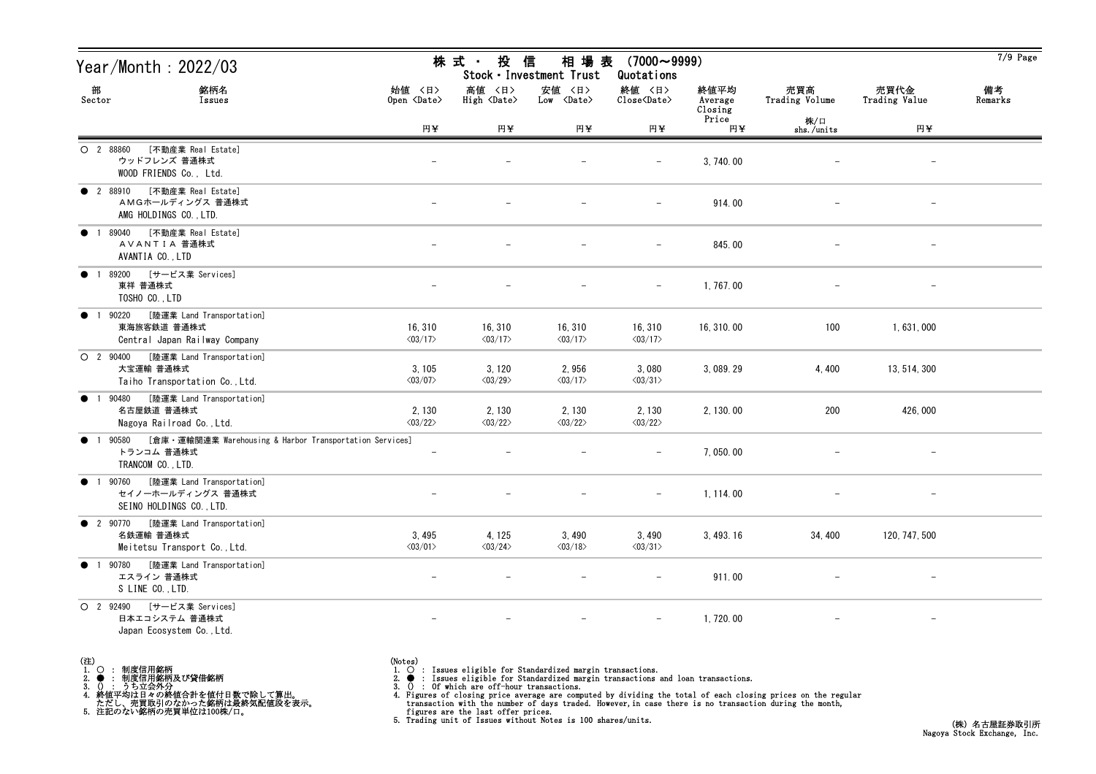| Year/Month: 2022/03                                                                                               |                                                                                     | 株 式 ・<br>投<br>信<br>相 場 表<br>$(7000 \sim 9999)$<br>Stock · Investment Trust<br>Quotations |                                    |                                    |                            |                       |                          |               |  |  |
|-------------------------------------------------------------------------------------------------------------------|-------------------------------------------------------------------------------------|------------------------------------------------------------------------------------------|------------------------------------|------------------------------------|----------------------------|-----------------------|--------------------------|---------------|--|--|
| 部<br>銘柄名<br>Sector<br>Issues                                                                                      | 始値 〈日〉<br>Open <date></date>                                                        | 高値 〈日〉<br>High <date></date>                                                             | 安値 〈日〉<br>Low <date></date>        | 終値 〈日〉<br>Close <date></date>      | 終値平均<br>Average<br>Closing | 売買高<br>Trading Volume | 売買代金<br>Trading Value    | 備考<br>Remarks |  |  |
|                                                                                                                   | 円半                                                                                  | 円半                                                                                       | 円半                                 | 円半                                 | Price<br>円半                | 株/口<br>shs./units     | 円半                       |               |  |  |
| [不動産業 Real Estate]<br>$O$ 2 88860<br>ウッドフレンズ 普通株式<br>WOOD FRIENDS Co., Ltd.                                       |                                                                                     |                                                                                          |                                    |                                    | 3, 740.00                  |                       | $\overline{\phantom{a}}$ |               |  |  |
| [不動産業 Real Estate]<br>• 2 88910<br>AMGホールディングス 普通株式<br>AMG HOLDINGS CO., LTD.                                     |                                                                                     |                                                                                          |                                    | $\qquad \qquad -$                  | 914.00                     |                       | $\overline{\phantom{a}}$ |               |  |  |
| [不動産業 Real Estate]<br>1 89040<br>$\bullet$<br>AVANTIA 普通株式<br>AVANTIA CO., LTD                                    |                                                                                     |                                                                                          |                                    |                                    | 845.00                     |                       | $\overline{\phantom{m}}$ |               |  |  |
| [サービス業 Services]<br>89200<br>$\bullet$<br>東祥 普通株式<br>TOSHO CO., LTD                                               |                                                                                     |                                                                                          |                                    | $-$                                | 1,767.00                   |                       |                          |               |  |  |
| [陸運業 Land Transportation]<br>90220<br>$\bullet$<br>$\overline{1}$<br>東海旅客鉄道 普通株式<br>Central Japan Railway Company | 16, 310<br>$\langle 03/17 \rangle$                                                  | 16, 310<br>$\langle 03/17 \rangle$                                                       | 16, 310<br>$\langle 03/17 \rangle$ | 16, 310<br>$\langle 03/17 \rangle$ | 16, 310.00                 | 100                   | 1,631,000                |               |  |  |
| O 2 90400<br>[陸運業 Land Transportation]<br>大宝運輸 普通株式<br>Taiho Transportation Co., Ltd.                             | 3, 105<br>$\langle 03/07 \rangle$                                                   | 3, 120<br>$\langle03/29\rangle$                                                          | 2,956<br>$\langle 03/17 \rangle$   | 3,080<br>$\langle 03/31 \rangle$   | 3, 089. 29                 | 4,400                 | 13, 514, 300             |               |  |  |
| [陸運業 Land Transportation]<br>1 90480<br>$\bullet$<br>名古屋鉄道 普通株式<br>Nagoya Railroad Co., Ltd.                      | 2, 130<br>$\langle 03/22 \rangle$                                                   | 2, 130<br>$\langle 03/22 \rangle$                                                        | 2, 130<br>$\langle 03/22 \rangle$  | 2, 130<br>$\langle 03/22 \rangle$  | 2, 130.00                  | 200                   | 426,000                  |               |  |  |
| 1 90580<br>$\bullet$<br>トランコム 普通株式<br>TRANCOM CO., LTD.                                                           | [倉庫・運輸関連業 Warehousing & Harbor Transportation Services]<br>$\overline{\phantom{a}}$ |                                                                                          |                                    | $\qquad \qquad -$                  | 7,050.00                   |                       | $\qquad \qquad -$        |               |  |  |
| [陸運業 Land Transportation]<br>1 90760<br>$\bullet$<br>セイノーホールディングス 普通株式<br>SEINO HOLDINGS CO., LTD.                |                                                                                     |                                                                                          |                                    | $-$                                | 1, 114.00                  |                       | $\overline{\phantom{m}}$ |               |  |  |
| ● 2 90770 [陸運業 Land Transportation]<br>名鉄運輸 普通株式<br>Meitetsu Transport Co., Ltd.                                  | 3,495<br>$\langle 03/01 \rangle$                                                    | 4, 125<br>$\langle 03/24 \rangle$                                                        | 3,490<br>$\langle 03/18 \rangle$   | 3,490<br>$\langle 03/31 \rangle$   | 3,493.16                   | 34, 400               | 120, 747, 500            |               |  |  |
| [陸運業 Land Transportation]<br>● 1 90780<br>エスライン 普通株式<br>S LINE CO., LTD.                                          |                                                                                     |                                                                                          |                                    |                                    | 911.00                     |                       |                          |               |  |  |
| [サービス業 Services]<br>O 2 92490<br>日本エコシステム 普通株式<br>Japan Ecosystem Co., Ltd.                                       |                                                                                     |                                                                                          |                                    | $-$                                | 1,720.00                   |                       | $\overline{\phantom{a}}$ |               |  |  |

(注)<br>1. ○<br>2. ●<br>3. ① 1. ○ : 制度信用銘柄

2. ● : 制度信用銘柄及び貸借銘柄<br>3. () : うち立会外分<br>4. 終値平均は日々の終値合計を値付日数で除して算出。<br>ただし、売買取引のなかった銘柄は最終気配値段を表示。<br>5. 注記のない銘柄の売買単位は100株/口。

(Notes)<br>1. ○ : Issues eligible for Standardized margin transactions.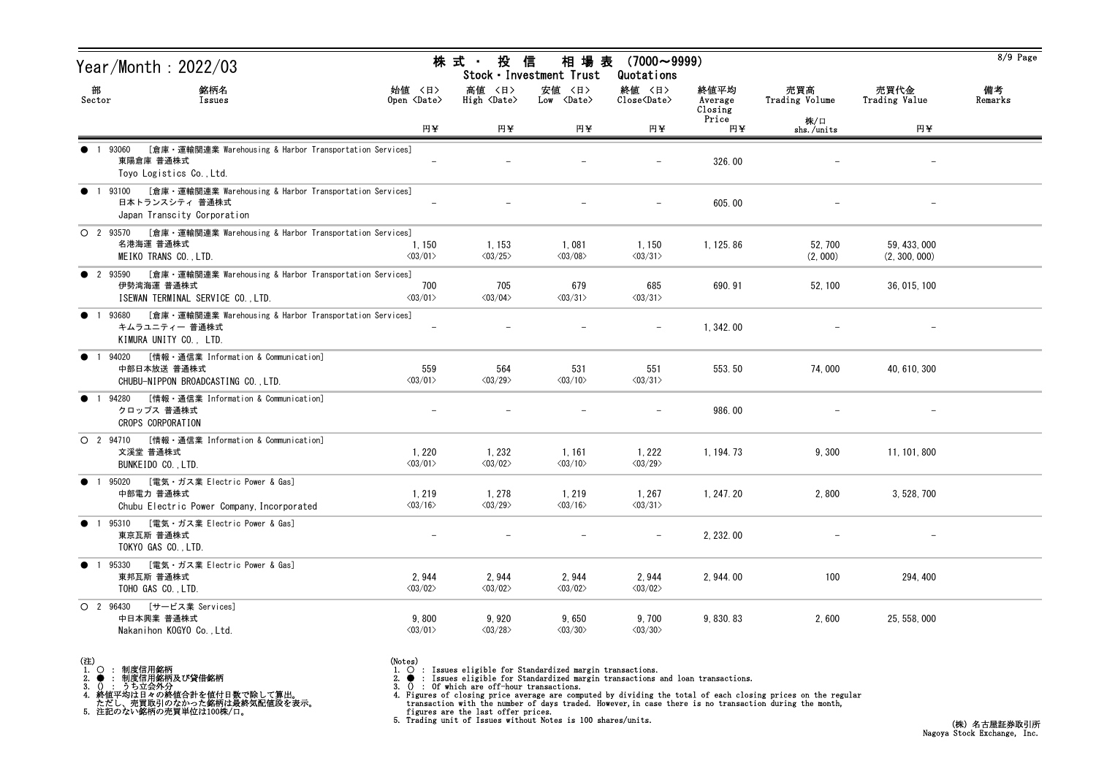| Year/Month: 2022/03                                                                                                                        |                                   | 株 式 ・<br>投 信                      | 相 場 表<br>Stock · Investment Trust | $(7000 \sim 9999)$<br>Quotations |                            |                       |                               | 8/9 Page      |
|--------------------------------------------------------------------------------------------------------------------------------------------|-----------------------------------|-----------------------------------|-----------------------------------|----------------------------------|----------------------------|-----------------------|-------------------------------|---------------|
| 部<br>銘柄名<br>Sector<br>Issues                                                                                                               | 始値 〈日〉<br>Open <date></date>      | 高値 〈日〉<br>High <date></date>      | 安値 〈日〉<br>Low <date></date>       | 終値 〈日〉<br>Close <date></date>    | 終値平均<br>Average<br>Closing | 売買高<br>Trading Volume | 売買代金<br>Trading Value         | 備考<br>Remarks |
|                                                                                                                                            | 円¥                                | 円半                                | 円半                                | 円半                               | Price<br>円¥                | 株/口<br>shs./units     | 円半                            |               |
| [倉庫・運輸関連業 Warehousing & Harbor Transportation Services]<br>1 93060<br>東陽倉庫 普通株式<br>Toyo Logistics Co., Ltd.                                |                                   |                                   |                                   |                                  | 326.00                     |                       |                               |               |
| [倉庫・運輸関連業 Warehousing & Harbor Transportation Services]<br>93100<br>$\bullet$<br>日本トランスシティ 普通株式<br>Japan Transcity Corporation             |                                   |                                   |                                   |                                  | 605.00                     |                       |                               |               |
| ○ 2 93570 [倉庫 · 運輸関連業 Warehousing & Harbor Transportation Services]<br>名港海運 普通株式<br>MEIKO TRANS CO., LTD.                                  | 1, 150<br>$\langle 03/01 \rangle$ | 1, 153<br>$\langle 03/25 \rangle$ | 1,081<br>$\langle 03/08 \rangle$  | 1,150<br>$\langle 03/31 \rangle$ | 1, 125.86                  | 52, 700<br>(2, 000)   | 59, 433, 000<br>(2, 300, 000) |               |
| [倉庫・運輸関連業 Warehousing & Harbor Transportation Services]<br><b>2</b> 93590<br>伊勢湾海運 普通株式<br>ISEWAN TERMINAL SERVICE CO., LTD.               | 700<br>$\langle 03/01 \rangle$    | 705<br>$\langle 03/04 \rangle$    | 679<br>$\langle 03/31 \rangle$    | 685<br>$\langle 03/31 \rangle$   | 690.91                     | 52, 100               | 36, 015, 100                  |               |
| [倉庫・運輸関連業 Warehousing & Harbor Transportation Services]<br>93680<br>$\bullet$<br>$\overline{1}$<br>キムラユニティー 普通株式<br>KIMURA UNITY CO., LTD. |                                   |                                   |                                   |                                  | 1, 342.00                  |                       |                               |               |
| [情報・通信業 Information & Communication]<br>94020<br>$\bullet$<br>中部日本放送 普通株式<br>CHUBU-NIPPON BROADCASTING CO., LTD.                           | 559<br>$\langle 03/01 \rangle$    | 564<br>$\langle 03/29 \rangle$    | 531<br>$\langle 03/10 \rangle$    | 551<br>$\langle 03/31 \rangle$   | 553.50                     | 74,000                | 40, 610, 300                  |               |
| [情報・通信業 Information & Communication]<br>94280<br>$\bullet$<br>クロップス 普通株式<br>CROPS CORPORATION                                              |                                   |                                   |                                   |                                  | 986.00                     |                       |                               |               |
| [情報・通信業 Information & Communication]<br>$O$ 2 94710<br>文溪堂 普通株式<br>BUNKEIDO CO., LTD.                                                      | 1, 220<br>$\langle 03/01 \rangle$ | 1, 232<br>$\langle 03/02 \rangle$ | 1, 161<br>$\langle 03/10 \rangle$ | 1,222<br>$\langle 03/29 \rangle$ | 1, 194. 73                 | 9,300                 | 11, 101, 800                  |               |
| [電気・ガス業 Electric Power & Gas]<br>• 1 95020<br>中部電力 普通株式<br>Chubu Electric Power Company, Incorporated                                      | 1, 219<br>$\langle 03/16 \rangle$ | 1, 278<br>$\langle 03/29 \rangle$ | 1, 219<br>$\langle 03/16 \rangle$ | 1,267<br>$\langle 03/31 \rangle$ | 1, 247. 20                 | 2,800                 | 3, 528, 700                   |               |
| ● 1 95310 [電気・ガス業 Electric Power & Gas]<br>東京瓦斯 普通株式<br>TOKYO GAS CO., LTD.                                                                |                                   |                                   |                                   |                                  | 2, 232.00                  |                       |                               |               |
| [電気・ガス業 Electric Power & Gas]<br>$\bullet$ 1<br>95330<br>東邦瓦斯 普通株式<br>TOHO GAS CO., LTD.                                                   | 2,944<br>$\langle 03/02 \rangle$  | 2,944<br>$\langle 03/02 \rangle$  | 2,944<br>$\langle 03/02 \rangle$  | 2,944<br>$\langle03/02\rangle$   | 2, 944.00                  | 100                   | 294, 400                      |               |
| O 2 96430 [サービス業 Services]<br>中日本興業 普通株式<br>Nakanihon KOGYO Co., Ltd.                                                                      | 9,800<br>$\langle 03/01 \rangle$  | 9,920<br>$\langle 03/28 \rangle$  | 9,650<br>$\langle 03/30 \rangle$  | 9,700<br>$\langle 03/30 \rangle$ | 9, 830. 83                 | 2,600                 | 25, 558, 000                  |               |

(注)<br>1. ○<br>2. ●<br>3. ① 1. ○ : 制度信用銘柄

2. ● : 制度信用銘柄及び貸借銘柄<br>3. () : うち立会外分<br>4. 終値平均は日々の終値合計を値付日数で除して算出。<br>ただし、売買取引のなかった銘柄は最終気配値段を表示。<br>5. 注記のない銘柄の売買単位は100株/口。

(Notes)<br>1. ○ : Issues eligible for Standardized margin transactions.